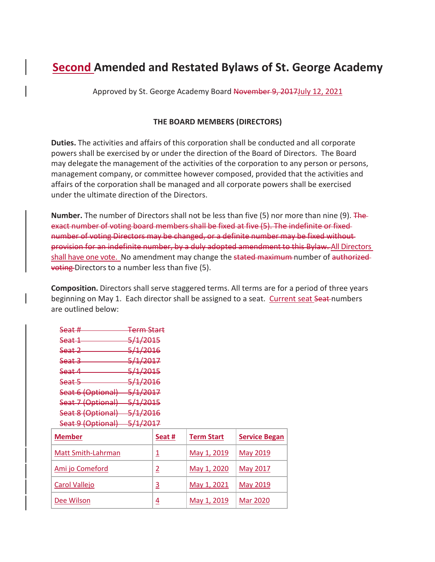# **Second Amended and Restated Bylaws of St. George Academy**

Approved by St. George Academy Board November 9, 2017 July 12, 2021

## **THE BOARD MEMBERS (DIRECTORS)**

**Duties.** The activities and affairs of this corporation shall be conducted and all corporate powers shall be exercised by or under the direction of the Board of Directors. The Board may delegate the management of the activities of the corporation to any person or persons, management company, or committee however composed, provided that the activities and affairs of the corporation shall be managed and all corporate powers shall be exercised under the ultimate direction of the Directors.

**Number.** The number of Directors shall not be less than five (5) nor more than nine (9). The exact number of voting board members shall be fixed at five (5). The indefinite or fixed number of voting Directors may be changed, or a definite number may be fixed without provision for an indefinite number, by a duly adopted amendment to this Bylaw. All Directors shall have one vote. No amendment may change the stated maximum number of authorized**voting** Directors to a number less than five (5).

**Composition.** Directors shall serve staggered terms. All terms are for a period of three years beginning on May 1. Each director shall be assigned to a seat. Current seat Seat-numbers are outlined below:

| <b>Cant #</b><br><u>Jeeran</u> | <del>Term Start</del> |
|--------------------------------|-----------------------|
| <del>Seat 1</del>              | <del>5/1/2015</del>   |
| <del>Seat 2</del>              | <del>5/1/2016</del>   |
| <del>Seat 3</del>              | <del>5/1/2017</del>   |
| <del>Seat 4</del>              | <del>5/1/2015</del>   |
| <del>Seat 5</del>              | <del>5/1/2016</del>   |
| Seat 6 (Optional)              | <del>5/1/2017</del>   |
| Seat 7 (Optional)              | <del>5/1/2015</del>   |
| Seat 8 (Optional)              | <del>5/1/2016</del>   |
| Seat 9 (Optional)              | <del>5/1/2017</del>   |
|                                |                       |

| <b>Member</b>             | Seat #         | <b>Term Start</b> | <b>Service Began</b> |
|---------------------------|----------------|-------------------|----------------------|
| <b>Matt Smith-Lahrman</b> | 1              | May 1, 2019       | May 2019             |
| Ami jo Comeford           | $\overline{c}$ | May 1, 2020       | May 2017             |
| <b>Carol Vallejo</b>      | 3              | May 1, 2021       | May 2019             |
| Dee Wilson                | $\overline{4}$ | May 1, 2019       | <b>Mar 2020</b>      |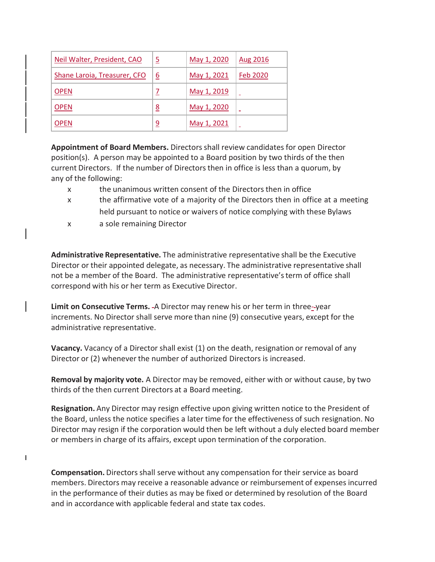| Neil Walter, President, CAO  | <u>5</u> | May 1, 2020 | Aug 2016 |
|------------------------------|----------|-------------|----------|
| Shane Laroia, Treasurer, CFO | <u>6</u> | May 1, 2021 | Feb 2020 |
| <b>OPEN</b>                  |          | May 1, 2019 |          |
| <b>OPEN</b>                  | <u>8</u> | May 1, 2020 |          |
| <b>OPEN</b>                  | <u>9</u> | May 1, 2021 |          |

**Appointment of Board Members.** Directorsshall review candidates for open Director position(s). A person may be appointed to a Board position by two thirds of the then current Directors. If the number of Directorsthen in office is less than a quorum, by any of the following:

- x the unanimous written consent of the Directors then in office
- x the affirmative vote of a majority of the Directors then in office at a meeting held pursuant to notice or waivers of notice complying with these Bylaws
- x a sole remaining Director

 $\mathbf{I}$ 

**Administrative Representative.** The administrative representative shall be the Executive Director or their appointed delegate, as necessary. The administrative representative shall not be a member of the Board. The administrative representative'sterm of office shall correspond with his or her term as Executive Director.

**Limit on Consecutive Terms.** A Director may renew his or her term in three- year increments. No Director shall serve more than nine (9) consecutive years, except for the administrative representative.

**Vacancy.** Vacancy of a Director shall exist (1) on the death, resignation or removal of any Director or (2) whenever the number of authorized Directors is increased.

**Removal by majority vote.** A Director may be removed, either with or without cause, by two thirds of the then current Directors at a Board meeting.

**Resignation.** Any Director may resign effective upon giving written notice to the President of the Board, unless the notice specifies a later time for the effectiveness of such resignation. No Director may resign if the corporation would then be left without a duly elected board member or membersin charge of its affairs, except upon termination of the corporation.

**Compensation.** Directors shall serve without any compensation for their service as board members. Directors may receive a reasonable advance or reimbursement of expenses incurred in the performance of their duties as may be fixed or determined by resolution of the Board and in accordance with applicable federal and state tax codes.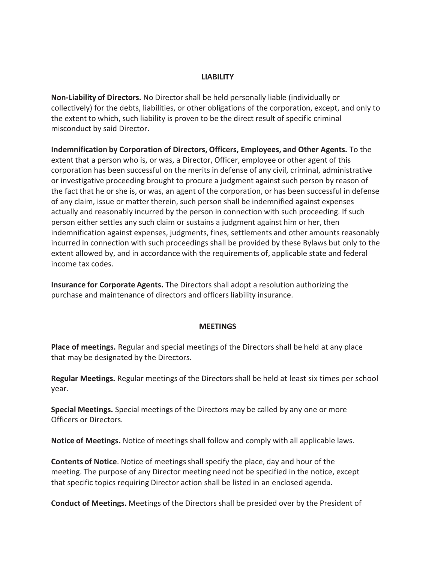## **LIABILITY**

**Non-Liability of Directors.** No Director shall be held personally liable (individually or collectively) for the debts, liabilities, or other obligations of the corporation, except, and only to the extent to which, such liability is proven to be the direct result of specific criminal misconduct by said Director.

**Indemnification by Corporation of Directors, Officers, Employees, and Other Agents.** To the extent that a person who is, or was, a Director, Officer, employee or other agent of this corporation has been successful on the merits in defense of any civil, criminal, administrative or investigative proceeding brought to procure a judgment against such person by reason of the fact that he or she is, or was, an agent of the corporation, or has been successful in defense of any claim, issue or matter therein, such person shall be indemnified against expenses actually and reasonably incurred by the person in connection with such proceeding. If such person either settles any such claim or sustains a judgment against him or her, then indemnification against expenses, judgments, fines, settlements and other amounts reasonably incurred in connection with such proceedings shall be provided by these Bylaws but only to the extent allowed by, and in accordance with the requirements of, applicable state and federal income tax codes.

**Insurance for Corporate Agents.** The Directors shall adopt a resolution authorizing the purchase and maintenance of directors and officers liability insurance.

#### **MEETINGS**

**Place of meetings.** Regular and special meetings of the Directors shall be held at any place that may be designated by the Directors.

**Regular Meetings.** Regular meetings of the Directors shall be held at least six times per school year.

**Special Meetings.** Special meetings of the Directors may be called by any one or more Officers or Directors*.*

**Notice of Meetings.** Notice of meetings shall follow and comply with all applicable laws.

**Contents of Notice**. Notice of meetingsshall specify the place, day and hour of the meeting. The purpose of any Director meeting need not be specified in the notice, except that specific topics requiring Director action shall be listed in an enclosed agenda.

**Conduct of Meetings.** Meetings of the Directors shall be presided over by the President of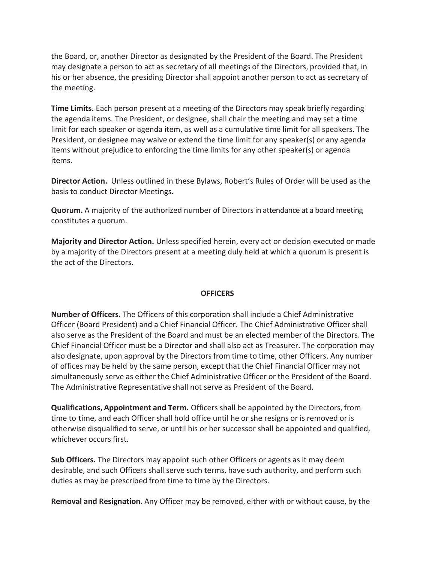the Board, or, another Director as designated by the President of the Board. The President may designate a person to act as secretary of all meetings of the Directors, provided that, in his or her absence, the presiding Director shall appoint another person to act as secretary of the meeting.

**Time Limits.** Each person present at a meeting of the Directors may speak briefly regarding the agenda items. The President, or designee, shall chair the meeting and may set a time limit for each speaker or agenda item, as well as a cumulative time limit for all speakers. The President, or designee may waive or extend the time limit for any speaker(s) or any agenda items without prejudice to enforcing the time limits for any other speaker(s) or agenda items.

**Director Action.** Unless outlined in these Bylaws, Robert's Rules of Order will be used as the basis to conduct Director Meetings.

**Quorum.** A majority of the authorized number of Directors in attendance at a board meeting constitutes a quorum.

**Majority and Director Action.** Unless specified herein, every act or decision executed or made by a majority of the Directors present at a meeting duly held at which a quorum is present is the act of the Directors.

#### **OFFICERS**

**Number of Officers.** The Officers of this corporation shall include a Chief Administrative Officer (Board President) and a Chief Financial Officer. The Chief Administrative Officer shall also serve as the President of the Board and must be an elected member of the Directors. The Chief Financial Officer must be a Director and shall also act as Treasurer. The corporation may also designate, upon approval by the Directors from time to time, other Officers. Any number of offices may be held by the same person, except that the Chief Financial Officermay not simultaneously serve as either the Chief Administrative Officer or the President of the Board. The Administrative Representative shall not serve as President of the Board.

**Qualifications, Appointment and Term.** Officers shall be appointed by the Directors, from time to time, and each Officer shall hold office until he or she resigns or is removed or is otherwise disqualified to serve, or until his or her successor shall be appointed and qualified, whichever occurs first.

**Sub Officers.** The Directors may appoint such other Officers or agents as it may deem desirable, and such Officers shall serve such terms, have such authority, and perform such duties as may be prescribed from time to time by the Directors.

**Removal and Resignation.** Any Officer may be removed, either with or without cause, by the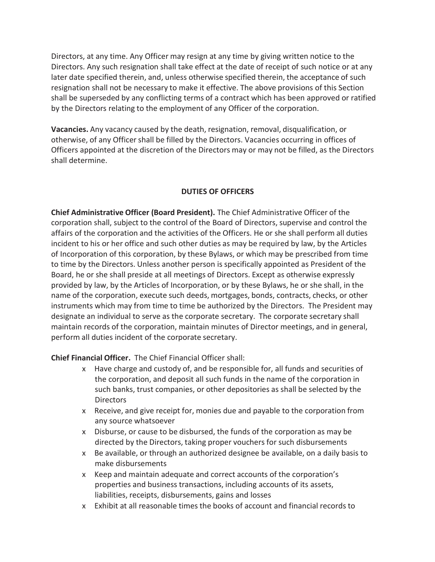Directors, at any time. Any Officer may resign at any time by giving written notice to the Directors. Any such resignation shall take effect at the date of receipt of such notice or at any later date specified therein, and, unless otherwise specified therein, the acceptance of such resignation shall not be necessary to make it effective. The above provisions of this Section shall be superseded by any conflicting terms of a contract which has been approved or ratified by the Directors relating to the employment of any Officer of the corporation.

**Vacancies.** Any vacancy caused by the death, resignation, removal, disqualification, or otherwise, of any Officershall be filled by the Directors. Vacancies occurring in offices of Officers appointed at the discretion of the Directors may or may not be filled, as the Directors shall determine.

## **DUTIES OF OFFICERS**

**Chief Administrative Officer (Board President).** The Chief Administrative Officer of the corporation shall, subject to the control of the Board of Directors, supervise and control the affairs of the corporation and the activities of the Officers. He or she shall perform all duties incident to his or her office and such other duties as may be required by law, by the Articles of Incorporation of this corporation, by these Bylaws, or which may be prescribed from time to time by the Directors. Unless another person is specifically appointed as President of the Board, he or she shall preside at all meetings of Directors. Except as otherwise expressly provided by law, by the Articles of Incorporation, or by these Bylaws, he or she shall, in the name of the corporation, execute such deeds, mortgages, bonds, contracts, checks, or other instruments which may from time to time be authorized by the Directors. The President may designate an individual to serve as the corporate secretary. The corporate secretary shall maintain records of the corporation, maintain minutes of Director meetings, and in general, perform all duties incident of the corporate secretary.

**Chief Financial Officer.** The Chief Financial Officer shall:

- x Have charge and custody of, and be responsible for, all funds and securities of the corporation, and deposit all such funds in the name of the corporation in such banks, trust companies, or other depositories as shall be selected by the **Directors**
- x Receive, and give receipt for, monies due and payable to the corporation from any source whatsoever
- x Disburse, or cause to be disbursed, the funds of the corporation as may be directed by the Directors, taking proper vouchers for such disbursements
- x Be available, or through an authorized designee be available, on a daily basis to make disbursements
- x Keep and maintain adequate and correct accounts of the corporation's properties and business transactions, including accounts of its assets, liabilities, receipts, disbursements, gains and losses
- x Exhibit at all reasonable times the books of account and financial records to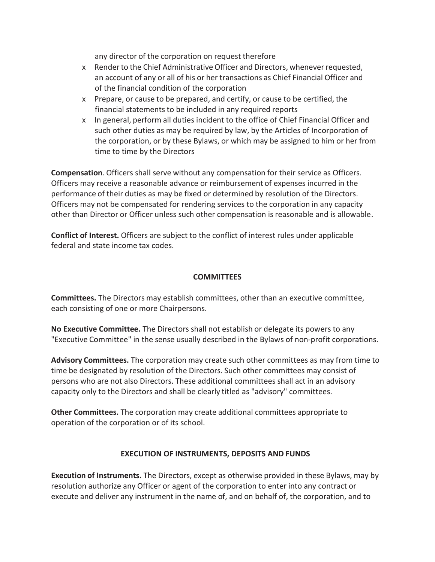any director of the corporation on request therefore

- x Renderto the Chief Administrative Officer and Directors, wheneverrequested, an account of any or all of his or her transactions as Chief Financial Officer and of the financial condition of the corporation
- x Prepare, or cause to be prepared, and certify, or cause to be certified, the financial statements to be included in any required reports
- x In general, perform all duties incident to the office of Chief Financial Officer and such other duties as may be required by law, by the Articles of Incorporation of the corporation, or by these Bylaws, or which may be assigned to him or her from time to time by the Directors

**Compensation**. Officers shall serve without any compensation for their service as Officers. Officers may receive a reasonable advance or reimbursement of expenses incurred in the performance of their duties as may be fixed or determined by resolution of the Directors. Officers may not be compensated for rendering services to the corporation in any capacity other than Director or Officer unless such other compensation is reasonable and is allowable.

**Conflict of Interest.** Officers are subject to the conflict of interest rules under applicable federal and state income tax codes.

## **COMMITTEES**

**Committees.** The Directors may establish committees, other than an executive committee, each consisting of one or more Chairpersons.

**No Executive Committee.** The Directors shall not establish or delegate its powers to any "Executive Committee" in the sense usually described in the Bylaws of non-profit corporations.

**Advisory Committees.** The corporation may create such other committees as may from time to time be designated by resolution of the Directors. Such other committees may consist of persons who are not also Directors. These additional committees shall act in an advisory capacity only to the Directors and shall be clearly titled as "advisory" committees.

**Other Committees.** The corporation may create additional committees appropriate to operation of the corporation or of its school.

#### **EXECUTION OF INSTRUMENTS, DEPOSITS AND FUNDS**

**Execution of Instruments.** The Directors, except as otherwise provided in these Bylaws, may by resolution authorize any Officer or agent of the corporation to enter into any contract or execute and deliver any instrument in the name of, and on behalf of, the corporation, and to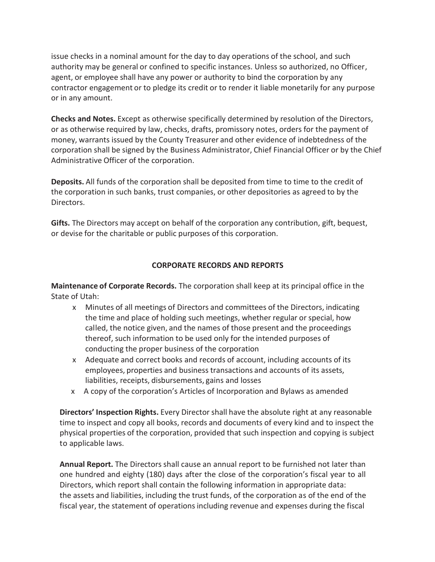issue checks in a nominal amount for the day to day operations of the school, and such authority may be general or confined to specific instances. Unless so authorized, no Officer, agent, or employee shall have any power or authority to bind the corporation by any contractor engagement or to pledge its credit or to render it liable monetarily for any purpose or in any amount.

**Checks and Notes.** Except as otherwise specifically determined by resolution of the Directors, or as otherwise required by law, checks, drafts, promissory notes, orders for the payment of money, warrants issued by the County Treasurer and other evidence of indebtedness of the corporation shall be signed by the Business Administrator, Chief Financial Officer or by the Chief Administrative Officer of the corporation.

**Deposits.** All funds of the corporation shall be deposited from time to time to the credit of the corporation in such banks, trust companies, or other depositories as agreed to by the Directors.

**Gifts.** The Directors may accept on behalf of the corporation any contribution, gift, bequest, or devise for the charitable or public purposes of this corporation.

## **CORPORATE RECORDS AND REPORTS**

**Maintenance of Corporate Records.** The corporation shall keep at its principal office in the State of Utah:

- x Minutes of all meetings of Directors and committees of the Directors, indicating the time and place of holding such meetings, whether regular or special, how called, the notice given, and the names of those present and the proceedings thereof, such information to be used only for the intended purposes of conducting the proper business of the corporation
- x Adequate and correct books and records of account, including accounts of its employees, properties and business transactions and accounts of its assets, liabilities, receipts, disbursements, gains and losses
- x A copy of the corporation's Articles of Incorporation and Bylaws as amended

**Directors' Inspection Rights.** Every Director shall have the absolute right at any reasonable time to inspect and copy all books, records and documents of every kind and to inspect the physical properties of the corporation, provided that such inspection and copying is subject to applicable laws.

**Annual Report.** The Directors shall cause an annual report to be furnished not later than one hundred and eighty (180) days after the close of the corporation's fiscal year to all Directors, which report shall contain the following information in appropriate data: the assets and liabilities, including the trust funds, of the corporation as of the end of the fiscal year, the statement of operations including revenue and expenses during the fiscal